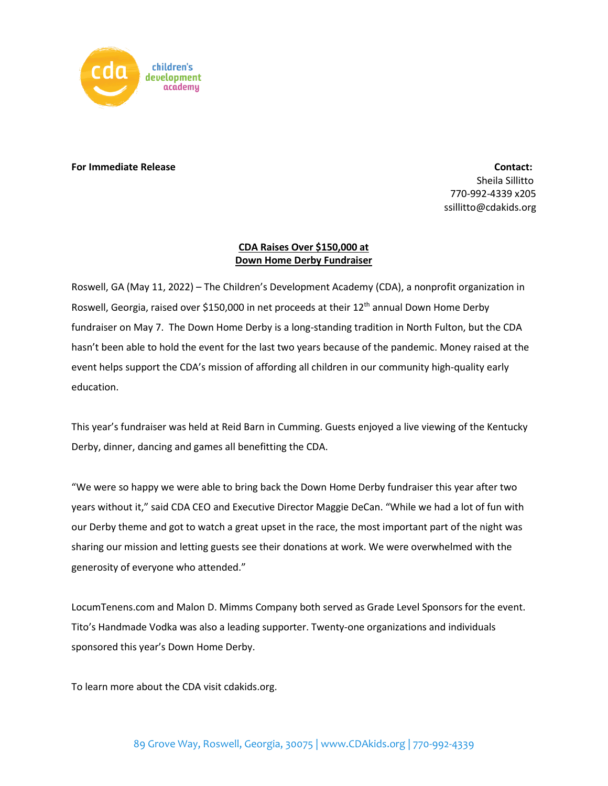

## **For Immediate Release Contact: For Immediate Release** Contact:

Sheila Sillitto 770-992-4339 x205 ssillitto@cdakids.org

## **CDA Raises Over \$150,000 at Down Home Derby Fundraiser**

Roswell, GA (May 11, 2022) – The Children's Development Academy (CDA), a nonprofit organization in Roswell, Georgia, raised over \$150,000 in net proceeds at their 12<sup>th</sup> annual Down Home Derby fundraiser on May 7. The Down Home Derby is a long-standing tradition in North Fulton, but the CDA hasn't been able to hold the event for the last two years because of the pandemic. Money raised at the event helps support the CDA's mission of affording all children in our community high-quality early education.

This year's fundraiser was held at Reid Barn in Cumming. Guests enjoyed a live viewing of the Kentucky Derby, dinner, dancing and games all benefitting the CDA.

"We were so happy we were able to bring back the Down Home Derby fundraiser this year after two years without it," said CDA CEO and Executive Director Maggie DeCan. "While we had a lot of fun with our Derby theme and got to watch a great upset in the race, the most important part of the night was sharing our mission and letting guests see their donations at work. We were overwhelmed with the generosity of everyone who attended."

LocumTenens.com and Malon D. Mimms Company both served as Grade Level Sponsors for the event. Tito's Handmade Vodka was also a leading supporter. Twenty-one organizations and individuals sponsored this year's Down Home Derby.

To learn more about the CDA visit cdakids.org.